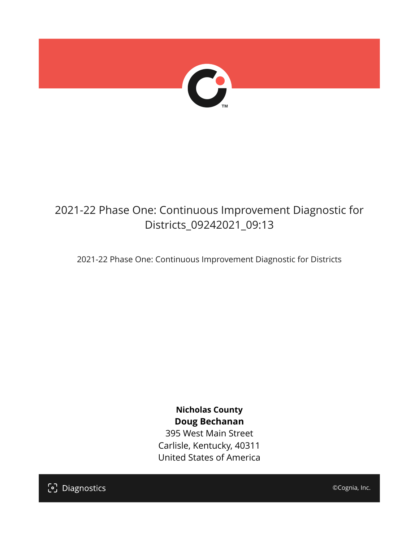

# 2021-22 Phase One: Continuous Improvement Diagnostic for Districts\_09242021\_09:13

2021-22 Phase One: Continuous Improvement Diagnostic for Districts

**Nicholas County Doug Bechanan**

395 West Main Street Carlisle, Kentucky, 40311 United States of America

[၁] Diagnostics

©Cognia, Inc.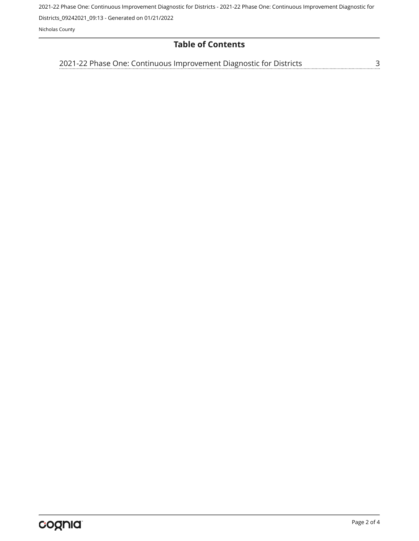2021-22 Phase One: Continuous Improvement Diagnostic for Districts - 2021-22 Phase One: Continuous Improvement Diagnostic for

Districts\_09242021\_09:13 - Generated on 01/21/2022

Nicholas County

### **Table of Contents**

[2021-22 Phase One: Continuous Improvement Diagnostic for Districts](#page-2-0)[3](#page-2-0)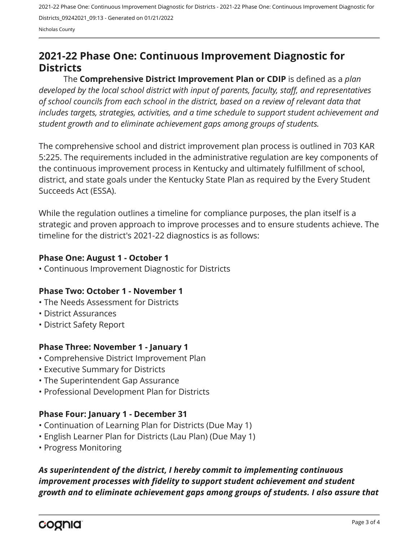2021-22 Phase One: Continuous Improvement Diagnostic for Districts - 2021-22 Phase One: Continuous Improvement Diagnostic for Districts\_09242021\_09:13 - Generated on 01/21/2022

Nicholas County

## <span id="page-2-0"></span>**2021-22 Phase One: Continuous Improvement Diagnostic for Districts**

The **Comprehensive District Improvement Plan or CDIP** is defined as a *plan developed by the local school district with input of parents, faculty, staff, and representatives of school councils from each school in the district, based on a review of relevant data that includes targets, strategies, activities, and a time schedule to support student achievement and student growth and to eliminate achievement gaps among groups of students.*

The comprehensive school and district improvement plan process is outlined in 703 KAR 5:225. The requirements included in the administrative regulation are key components of the continuous improvement process in Kentucky and ultimately fulfillment of school, district, and state goals under the Kentucky State Plan as required by the Every Student Succeeds Act (ESSA).

While the regulation outlines a timeline for compliance purposes, the plan itself is a strategic and proven approach to improve processes and to ensure students achieve. The timeline for the district's 2021-22 diagnostics is as follows:

#### **Phase One: August 1 - October 1**

• Continuous Improvement Diagnostic for Districts

#### **Phase Two: October 1 - November 1**

- The Needs Assessment for Districts
- District Assurances
- District Safety Report

#### **Phase Three: November 1 - January 1**

- Comprehensive District Improvement Plan
- Executive Summary for Districts
- The Superintendent Gap Assurance
- Professional Development Plan for Districts

#### **Phase Four: January 1 - December 31**

- Continuation of Learning Plan for Districts (Due May 1)
- English Learner Plan for Districts (Lau Plan) (Due May 1)
- Progress Monitoring

*As superintendent of the district, I hereby commit to implementing continuous improvement processes with fidelity to support student achievement and student growth and to eliminate achievement gaps among groups of students. I also assure that*